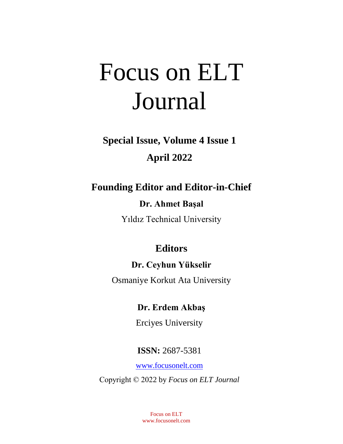# Focus on ELT Journal

# **Special Issue, Volume 4 Issue 1 April 2022**

# **Founding Editor and Editor-in-Chief**

# **Dr. Ahmet Başal**

Yıldız Technical University

# **Editors**

# **Dr. Ceyhun Yükselir**

Osmaniye Korkut Ata University

# **Dr. Erdem Akbaş**

Erciyes University

# **ISSN:** 2687-5381

[www.focusonelt.com](https://focusonelt.com/index.php/foe/index)

Copyright © 2022 by *Focus on ELT Journal*

Focus on ELT www.focusonelt.com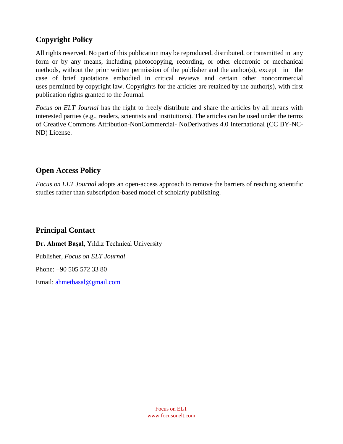## **Copyright Policy**

All rights reserved. No part of this publication may be reproduced, distributed, or transmitted in any form or by any means, including photocopying, recording, or other electronic or mechanical methods, without the prior written permission of the publisher and the author(s), except in the case of brief quotations embodied in critical reviews and certain other noncommercial uses permitted by copyright law. Copyrights for the articles are retained by the author(s), with first publication rights granted to the Journal.

*Focus on ELT Journal* has the right to freely distribute and share the articles by all means with interested parties (e.g., readers, scientists and institutions). The articles can be used under the terms of Creative Commons Attribution-NonCommercial- NoDerivatives 4.0 International (CC BY-NC-ND) License.

## **Open Access Policy**

*Focus on ELT Journal* adopts an open-access approach to remove the barriers of reaching scientific studies rather than subscription-based model of scholarly publishing.

## **Principal Contact**

**Dr. Ahmet Başal**, Yıldız Technical University Publisher, *Focus on ELT Journal* Phone: +90 505 572 33 80 Email: [ahmetbasal@gmail.com](mailto:ahmetbasal@gmail.com)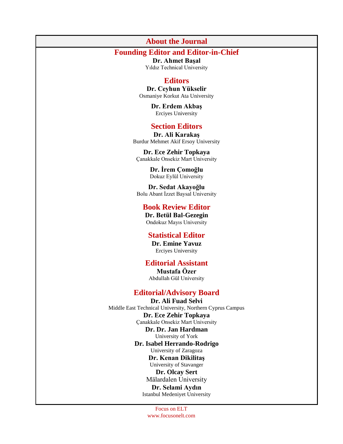#### **About the Journal**

### **Founding Editor and Editor-in-Chief**

**Dr. Ahmet Başal** Yıldız Technical University

#### **Editors**

**Dr. Ceyhun Yükselir** Osmaniye Korkut Ata University

> **Dr. Erdem Akbaş** Erciyes University

#### **Section Editors**

**Dr. Ali Karakaş** Burdur Mehmet Akif Ersoy University

**Dr. Ece Zehir Topkaya**  Çanakkale Onsekiz Mart University

> **Dr. İrem Çomoğlu** Dokuz Eylül University

**Dr. Sedat Akayoğlu** Bolu Abant İzzet Baysal University

#### **Book Review Editor**

**Dr. Betül Bal-Gezegin** Ondokuz Mayıs University

#### **Statistical Editor**

**Dr. Emine Yavuz** Erciyes University

#### **Editorial Assistant**

**Mustafa Özer** Abdullah Gül University

#### **Editorial/Advisory Board**

**Dr. Ali Fuad Selvi** Middle East Technical University, Northern Cyprus Campus **Dr. Ece Zehir Topkaya** Çanakkale Onsekiz Mart University **Dr. Dr. Jan Hardman**  University of York **Dr. Isabel Herrando-Rodrigo** University of Zaragoza **Dr. Kenan Dikilitaş** University of Stavanger **Dr. Olcay Sert** Mälardalen University **Dr. Selami Aydın** Istanbul Medeniyet University

> Focus on ELT www.focusonelt.com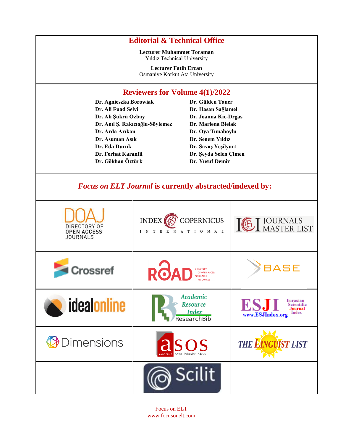## **Editorial & Technical Office**

**Lecturer Muhammet Toraman** Yıldız Technical University

**Lecturer Fatih Ercan** Osmaniye Korkut Ata University

#### **Reviewers for Volume 4(1)/2022**

**Dr. Agnieszka Borowiak Dr. Ali Fuad Selvi Dr. Ali Şükrü Özbay Dr. Anıl Ş. Rakıcıoğlu-Söylemez Dr. Arda Arıkan Dr. Asuman Aşık Dr. Eda Duruk Dr. Ferhat Karanfil Dr. Gökhan Öztürk**

**Dr. Gülden Taner Dr. Hasan Sağlamel Dr. Joanna Kic-Drgas Dr. Marlena Bielak Dr. Oya Tunaboylu Dr. Senem Yıldız Dr. Savaş Yeşilyurt Dr. Şeyda Selen Çimen Dr. Yusuf Demir**

## *Focus on ELT Journal* **is currently abstracted/indexed by:**

| DIRECTORY OF<br><b>OPEN ACCESS</b><br><b>JOURNALS</b> | <b>COPERNICUS</b><br><b>INDEX</b><br>R N A T I O N A L<br>I N T E                        | <b>ICE I JOURNALS</b>                                                               |
|-------------------------------------------------------|------------------------------------------------------------------------------------------|-------------------------------------------------------------------------------------|
| Crossref                                              | <b>ROAD</b><br><b>DIRECTORY</b><br>OF OPEN ACCESS<br><b>CHOLARLY</b><br><b>RESOURCES</b> | <b>BASE</b>                                                                         |
| idealonline                                           | Academic<br><b>Resource</b><br><b>Index</b><br>ResearchBib                               | Eurasian<br><b>ESJ</b><br><b>Scientific</b><br>Journal<br>Index<br>www.ESJIndex.org |
| Dimensions                                            | asos<br>kademia sosyal bilimler indeksi                                                  | <b>THE EINGUIST LIST</b>                                                            |
|                                                       | <b>Scilit</b>                                                                            |                                                                                     |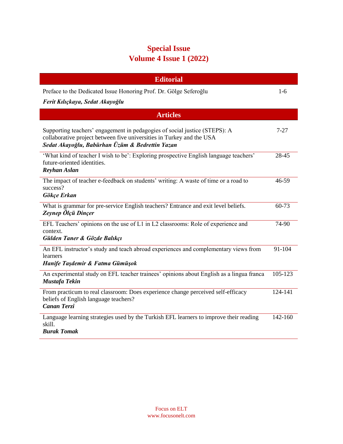## **Special Issue Volume 4 Issue 1 (2022)**

| <b>Editorial</b>                                                                                                                                                                                       |         |  |  |
|--------------------------------------------------------------------------------------------------------------------------------------------------------------------------------------------------------|---------|--|--|
| Preface to the Dedicated Issue Honoring Prof. Dr. Gölge Seferoğlu                                                                                                                                      | $1-6$   |  |  |
| Ferit Kılıçkaya, Sedat Akayoğlu                                                                                                                                                                        |         |  |  |
| <b>Articles</b>                                                                                                                                                                                        |         |  |  |
| Supporting teachers' engagement in pedagogies of social justice (STEPS): A<br>collaborative project between five universities in Turkey and the USA<br>Sedat Akayoğlu, Babürhan Üzüm & Bedrettin Yazan | 7-27    |  |  |
| "What kind of teacher I wish to be": Exploring prospective English language teachers"<br>future-oriented identities.<br><b>Reyhan Aslan</b>                                                            | 28-45   |  |  |
| The impact of teacher e-feedback on students' writing: A waste of time or a road to<br>success?<br>Gökçe Erkan                                                                                         | 46-59   |  |  |
| What is grammar for pre-service English teachers? Entrance and exit level beliefs.<br>Zeynep Ölçü Dinçer                                                                                               | 60-73   |  |  |
| EFL Teachers' opinions on the use of L1 in L2 classrooms: Role of experience and<br>context.<br>Gülden Taner & Gözde Balıkçı                                                                           | 74-90   |  |  |
| An EFL instructor's study and teach abroad experiences and complementary views from<br>learners<br>Hanife Taşdemir & Fatma Gümüşok                                                                     | 91-104  |  |  |
| An experimental study on EFL teacher trainees' opinions about English as a lingua franca<br>Mustafa Tekin                                                                                              | 105-123 |  |  |
| From practicum to real classroom: Does experience change perceived self-efficacy<br>beliefs of English language teachers?<br><b>Canan Terzi</b>                                                        | 124-141 |  |  |
| Language learning strategies used by the Turkish EFL learners to improve their reading<br>skill.<br><b>Burak Tomak</b>                                                                                 | 142-160 |  |  |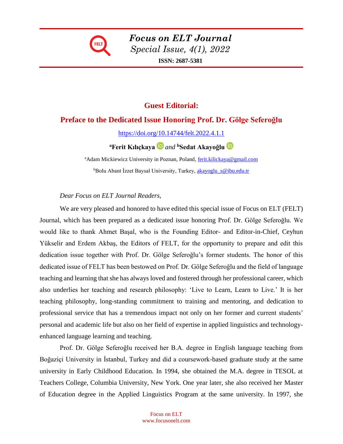

*Focus on ELT Journal Special Issue, 4(1), 2022* **ISSN: 2687-5381**

## **Guest Editorial:**

#### **Preface to the Dedicated Issue Honoring Prof. Dr. Gölge Seferoğlu**

<https://doi.org/10.14744/felt.2022.4.1.1>

**<sup>a</sup>Ferit Kılıçkaya** *and* **<sup>b</sup>Sedat Akayoğlu**

<sup>a</sup>Adam Mickiewicz University in Poznan, Poland, [ferit.kilickaya@gmail.com](mailto:ferit.kilickaya@gmail.com) bBolu Abant İzzet Baysal University, Turkey, akayoglu s@ibu.edu.tr

#### *Dear Focus on ELT Journal Readers,*

We are very pleased and honored to have edited this special issue of Focus on ELT (FELT) Journal, which has been prepared as a dedicated issue honoring Prof. Dr. Gölge Seferoğlu. We would like to thank Ahmet Başal, who is the Founding Editor- and Editor-in-Chief, Ceyhun Yükselir and Erdem Akbaş, the Editors of FELT, for the opportunity to prepare and edit this dedication issue together with Prof. Dr. Gölge Seferoğlu's former students. The honor of this dedicated issue of FELT has been bestowed on Prof. Dr. Gölge Seferoğlu and the field of language teaching and learning that she has always loved and fostered through her professional career, which also underlies her teaching and research philosophy: 'Live to Learn, Learn to Live.' It is her teaching philosophy, long-standing commitment to training and mentoring, and dedication to professional service that has a tremendous impact not only on her former and current students' personal and academic life but also on her field of expertise in applied linguistics and technologyenhanced language learning and teaching.

Prof. Dr. Gölge Seferoğlu received her B.A. degree in English language teaching from Boğaziçi University in İstanbul, Turkey and did a coursework-based graduate study at the same university in Early Childhood Education. In 1994, she obtained the M.A. degree in TESOL at Teachers College, Columbia University, New York. One year later, she also received her Master of Education degree in the Applied Linguistics Program at the same university. In 1997, she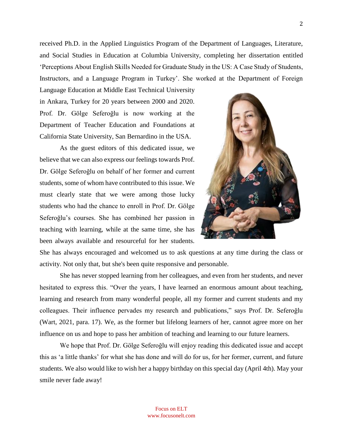received Ph.D. in the Applied Linguistics Program of the Department of Languages, Literature, and Social Studies in Education at Columbia University, completing her dissertation entitled 'Perceptions About English Skills Needed for Graduate Study in the US: A Case Study of Students, Instructors, and a Language Program in Turkey'. She worked at the Department of Foreign

Language Education at Middle East Technical University in Ankara, Turkey for 20 years between 2000 and 2020. Prof. Dr. Gölge Seferoğlu is now working at the Department of Teacher Education and Foundations at California State University, San Bernardino in the USA.

As the guest editors of this dedicated issue, we believe that we can also express our feelings towards Prof. Dr. Gölge Seferoğlu on behalf of her former and current students, some of whom have contributed to this issue. We must clearly state that we were among those lucky students who had the chance to enroll in Prof. Dr. Gölge Seferoğlu's courses. She has combined her passion in teaching with learning, while at the same time, she has been always available and resourceful for her students.



She has always encouraged and welcomed us to ask questions at any time during the class or activity. Not only that, but she's been quite responsive and personable.

She has never stopped learning from her colleagues, and even from her students, and never hesitated to express this. "Over the years, I have learned an enormous amount about teaching, learning and research from many wonderful people, all my former and current students and my colleagues. Their influence pervades my research and publications," says Prof. Dr. Seferoğlu (Wart, 2021, para. 17). We, as the former but lifelong learners of her, cannot agree more on her influence on us and hope to pass her ambition of teaching and learning to our future learners.

We hope that Prof. Dr. Gölge Seferoğlu will enjoy reading this dedicated issue and accept this as 'a little thanks' for what she has done and will do for us, for her former, current, and future students. We also would like to wish her a happy birthday on this special day (April 4th). May your smile never fade away!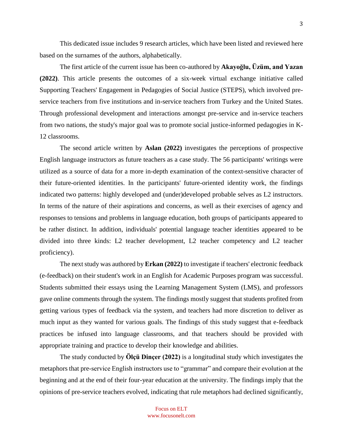This dedicated issue includes 9 research articles, which have been listed and reviewed here based on the surnames of the authors, alphabetically.

The first article of the current issue has been co-authored by **Akayoğlu, Üzüm, and Yazan (2022)**. This article presents the outcomes of a six-week virtual exchange initiative called Supporting Teachers' Engagement in Pedagogies of Social Justice (STEPS), which involved preservice teachers from five institutions and in-service teachers from Turkey and the United States. Through professional development and interactions amongst pre-service and in-service teachers from two nations, the study's major goal was to promote social justice-informed pedagogies in K-12 classrooms.

The second article written by **Aslan (2022)** investigates the perceptions of prospective English language instructors as future teachers as a case study. The 56 participants' writings were utilized as a source of data for a more in-depth examination of the context-sensitive character of their future-oriented identities. In the participants' future-oriented identity work, the findings indicated two patterns: highly developed and (under)developed probable selves as L2 instructors. In terms of the nature of their aspirations and concerns, as well as their exercises of agency and responses to tensions and problems in language education, both groups of participants appeared to be rather distinct. In addition, individuals' potential language teacher identities appeared to be divided into three kinds: L2 teacher development, L2 teacher competency and L2 teacher proficiency).

The next study was authored by **Erkan (2022)** to investigate if teachers' electronic feedback (e-feedback) on their student's work in an English for Academic Purposes program was successful. Students submitted their essays using the Learning Management System (LMS), and professors gave online comments through the system. The findings mostly suggest that students profited from getting various types of feedback via the system, and teachers had more discretion to deliver as much input as they wanted for various goals. The findings of this study suggest that e-feedback practices be infused into language classrooms, and that teachers should be provided with appropriate training and practice to develop their knowledge and abilities.

The study conducted by **Ölçü Dinçer (2022)** is a longitudinal study which investigates the metaphors that pre-service English instructors use to "grammar" and compare their evolution at the beginning and at the end of their four-year education at the university. The findings imply that the opinions of pre-service teachers evolved, indicating that rule metaphors had declined significantly,

3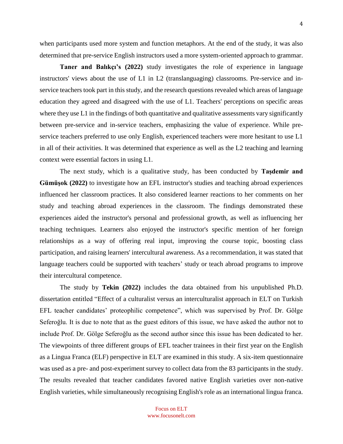when participants used more system and function metaphors. At the end of the study, it was also determined that pre-service English instructors used a more system-oriented approach to grammar.

**Taner and Balıkçı's (2022)** study investigates the role of experience in language instructors' views about the use of L1 in L2 (translanguaging) classrooms. Pre-service and inservice teachers took part in this study, and the research questions revealed which areas of language education they agreed and disagreed with the use of L1. Teachers' perceptions on specific areas where they use L1 in the findings of both quantitative and qualitative assessments vary significantly between pre-service and in-service teachers, emphasizing the value of experience. While preservice teachers preferred to use only English, experienced teachers were more hesitant to use L1 in all of their activities. It was determined that experience as well as the L2 teaching and learning context were essential factors in using L1.

The next study, which is a qualitative study, has been conducted by **Taşdemir and Gümüşok (2022)** to investigate how an EFL instructor's studies and teaching abroad experiences influenced her classroom practices. It also considered learner reactions to her comments on her study and teaching abroad experiences in the classroom. The findings demonstrated these experiences aided the instructor's personal and professional growth, as well as influencing her teaching techniques. Learners also enjoyed the instructor's specific mention of her foreign relationships as a way of offering real input, improving the course topic, boosting class participation, and raising learners' intercultural awareness. As a recommendation, it was stated that language teachers could be supported with teachers' study or teach abroad programs to improve their intercultural competence.

The study by **Tekin (2022)** includes the data obtained from his unpublished Ph.D. dissertation entitled "Effect of a culturalist versus an interculturalist approach in ELT on Turkish EFL teacher candidates' proteophilic competence", which was supervised by Prof. Dr. Gölge Seferoğlu. It is due to note that as the guest editors of this issue, we have asked the author not to include Prof. Dr. Gölge Seferoğlu as the second author since this issue has been dedicated to her. The viewpoints of three different groups of EFL teacher trainees in their first year on the English as a Lingua Franca (ELF) perspective in ELT are examined in this study. A six-item questionnaire was used as a pre- and post-experiment survey to collect data from the 83 participants in the study. The results revealed that teacher candidates favored native English varieties over non-native English varieties, while simultaneously recognising English's role as an international lingua franca.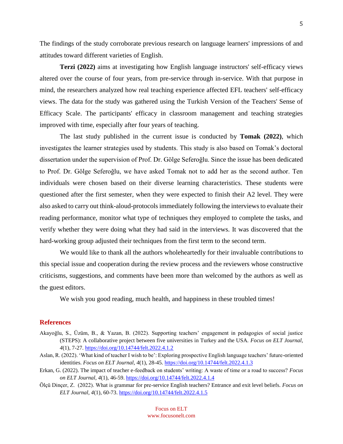The findings of the study corroborate previous research on language learners' impressions of and attitudes toward different varieties of English.

**Terzi (2022)** aims at investigating how English language instructors' self-efficacy views altered over the course of four years, from pre-service through in-service. With that purpose in mind, the researchers analyzed how real teaching experience affected EFL teachers' self-efficacy views. The data for the study was gathered using the Turkish Version of the Teachers' Sense of Efficacy Scale. The participants' efficacy in classroom management and teaching strategies improved with time, especially after four years of teaching.

The last study published in the current issue is conducted by **Tomak (2022)**, which investigates the learner strategies used by students. This study is also based on Tomak's doctoral dissertation under the supervision of Prof. Dr. Gölge Seferoğlu. Since the issue has been dedicated to Prof. Dr. Gölge Seferoğlu, we have asked Tomak not to add her as the second author. Ten individuals were chosen based on their diverse learning characteristics. These students were questioned after the first semester, when they were expected to finish their A2 level. They were also asked to carry out think-aloud-protocols immediately following the interviews to evaluate their reading performance, monitor what type of techniques they employed to complete the tasks, and verify whether they were doing what they had said in the interviews. It was discovered that the hard-working group adjusted their techniques from the first term to the second term.

We would like to thank all the authors wholeheartedly for their invaluable contributions to this special issue and cooperation during the review process and the reviewers whose constructive criticisms, suggestions, and comments have been more than welcomed by the authors as well as the guest editors.

We wish you good reading, much health, and happiness in these troubled times!

#### **References**

- Akayoğlu, S., Üzüm, B., & Yazan, B. (2022). Supporting teachers' engagement in pedagogies of social justice (STEPS): A collaborative project between five universities in Turkey and the USA. *Focus on ELT Journal, 4*(1), 7-27. <https://doi.org/10.14744/felt.2022.4.1.2>
- Aslan, R. (2022). 'What kind of teacher I wish to be': Exploring prospective English language teachers' future-oriented identities. *Focus on ELT Journal, 4*(1), 28-45. <https://doi.org/10.14744/felt.2022.4.1.3>
- Erkan, G. (2022). The impact of teacher e-feedback on students' writing: A waste of time or a road to success? *Focus on ELT Journal, 4*(1), 46-59. <https://doi.org/10.14744/felt.2022.4.1.4>
- Ölçü Dinçer, Z. (2022). What is grammar for pre-service English teachers? Entrance and exit level beliefs. *Focus on ELT Journal, 4*(1), 60-73. <https://doi.org/10.14744/felt.2022.4.1.5>

Focus on ELT www.focusonelt.com